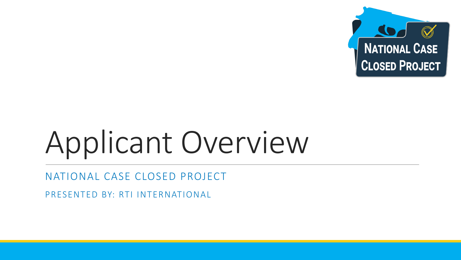

# Applicant Overview

NATIONAL CASE CLOSED PROJECT

PRESENTED BY: RTI INTERNATIONAL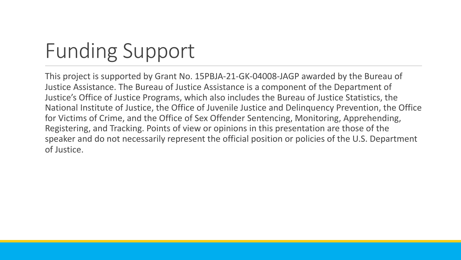## Funding Support

This project is supported by Grant No. 15PBJA-21-GK-04008-JAGP awarded by the Bureau of Justice Assistance. The Bureau of Justice Assistance is a component of the Department of Justice's Office of Justice Programs, which also includes the Bureau of Justice Statistics, the National Institute of Justice, the Office of Juvenile Justice and Delinquency Prevention, the Office for Victims of Crime, and the Office of Sex Offender Sentencing, Monitoring, Apprehending, Registering, and Tracking. Points of view or opinions in this presentation are those of the speaker and do not necessarily represent the official position or policies of the U.S. Department of Justice.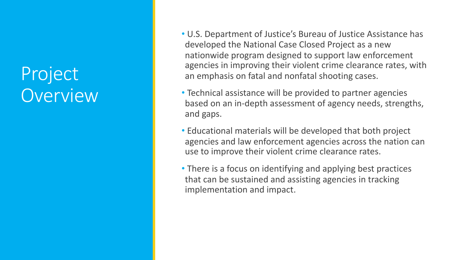#### Project Overview

- U.S. Department of Justice's Bureau of Justice Assistance has developed the National Case Closed Project as a new nationwide program designed to support law enforcement agencies in improving their violent crime clearance rates, with an emphasis on fatal and nonfatal shooting cases.
- Technical assistance will be provided to partner agencies based on an in-depth assessment of agency needs, strengths, and gaps.
- Educational materials will be developed that both project agencies and law enforcement agencies across the nation can use to improve their violent crime clearance rates.
- There is a focus on identifying and applying best practices that can be sustained and assisting agencies in tracking implementation and impact.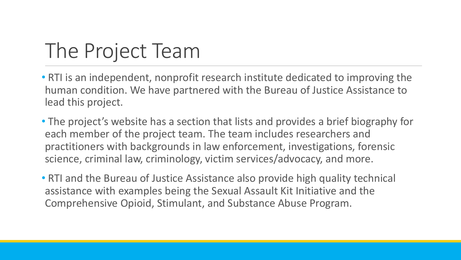### The Project Team

• RTI is an independent, nonprofit research institute dedicated to improving the human condition. We have partnered with the Bureau of Justice Assistance to lead this project.

• The project's website has a section that lists and provides a brief biography for each member of the project team. The team includes researchers and practitioners with backgrounds in law enforcement, investigations, forensic science, criminal law, criminology, victim services/advocacy, and more.

• RTI and the Bureau of Justice Assistance also provide high quality technical assistance with examples being the Sexual Assault Kit Initiative and the Comprehensive Opioid, Stimulant, and Substance Abuse Program.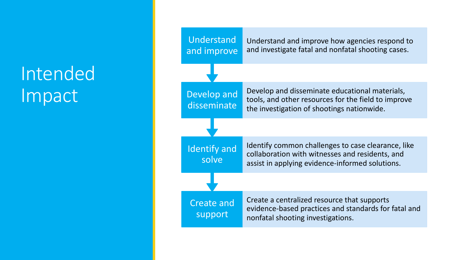### Intended Impact

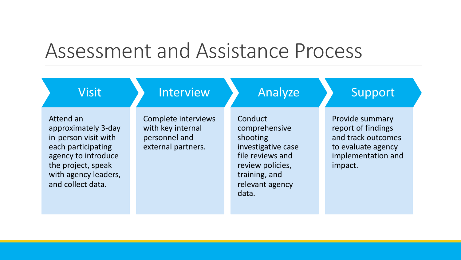#### Assessment and Assistance Process

| <b>Visit</b>                                                                                                                                                             | <b>Interview</b>                                                                | Analyze                                                                                                                                         | Support                                                                                                            |
|--------------------------------------------------------------------------------------------------------------------------------------------------------------------------|---------------------------------------------------------------------------------|-------------------------------------------------------------------------------------------------------------------------------------------------|--------------------------------------------------------------------------------------------------------------------|
| Attend an<br>approximately 3-day<br>in-person visit with<br>each participating<br>agency to introduce<br>the project, speak<br>with agency leaders,<br>and collect data. | Complete interviews<br>with key internal<br>personnel and<br>external partners. | Conduct<br>comprehensive<br>shooting<br>investigative case<br>file reviews and<br>review policies,<br>training, and<br>relevant agency<br>data. | Provide summary<br>report of findings<br>and track outcomes<br>to evaluate agency<br>implementation and<br>impact. |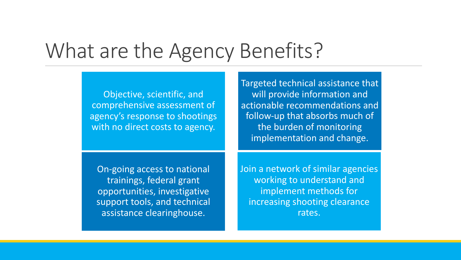#### What are the Agency Benefits?

Objective, scientific, and comprehensive assessment of agency's response to shootings with no direct costs to agency.

Targeted technical assistance that will provide information and actionable recommendations and follow-up that absorbs much of the burden of monitoring implementation and change.

On-going access to national trainings, federal grant opportunities, investigative support tools, and technical assistance clearinghouse.

Join a network of similar agencies working to understand and implement methods for increasing shooting clearance rates.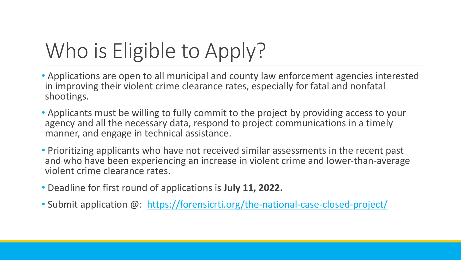# Who is Eligible to Apply?

- Applications are open to all municipal and county law enfort in improving their violent crime clearance rates, especially shootings.
- Applicants must be willing to fully commit to the project by agency and all the necessary data, respond to project com manner, and engage in technical assistance.
- Prioritizing applicants who have not received similar asses and who have been experiencing an increase in violent crine violent crime clearance rates.
- Deadline for first round of applications is **July 11, 2022.**
- Submit application @: https://forensicrti.org/the-nationa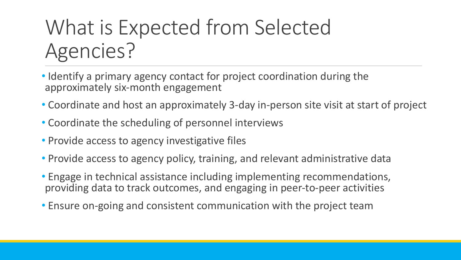### What is Expected from Selected Agencies?

- Identify a primary agency contact for project coordination during the approximately six-month engagement
- Coordinate and host an approximately 3-day in-person site visit at start of project
- Coordinate the scheduling of personnel interviews
- Provide access to agency investigative files
- Provide access to agency policy, training, and relevant administrative data
- Engage in technical assistance including implementing recommendations, providing data to track outcomes, and engaging in peer-to-peer activities
- Ensure on-going and consistent communication with the project team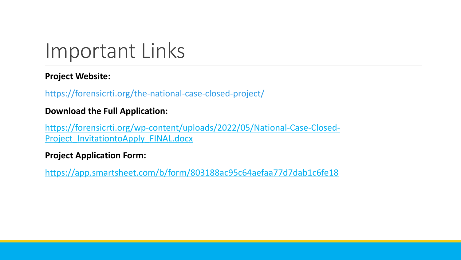### [Important Links](https://app.smartsheet.com/b/form/803188ac95c64aefaa77d7dab1c6fe18)

#### **Project Website:**

https://forensicrti.org/the-national-case-closed-project/

#### **Download the Full Application:**

https://forensicrti.org/wp-content/uploads/2022/05/National-C Project InvitationtoApply FINAL.docx

#### **Project Application Form:**

https://app.smartsheet.com/b/form/803188ac95c64aefaa77d7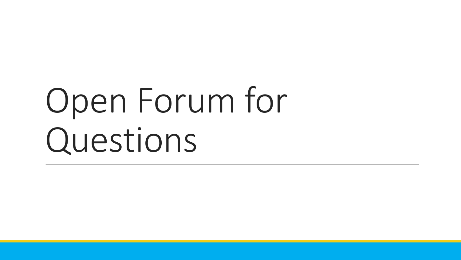# Open Forum for Questions